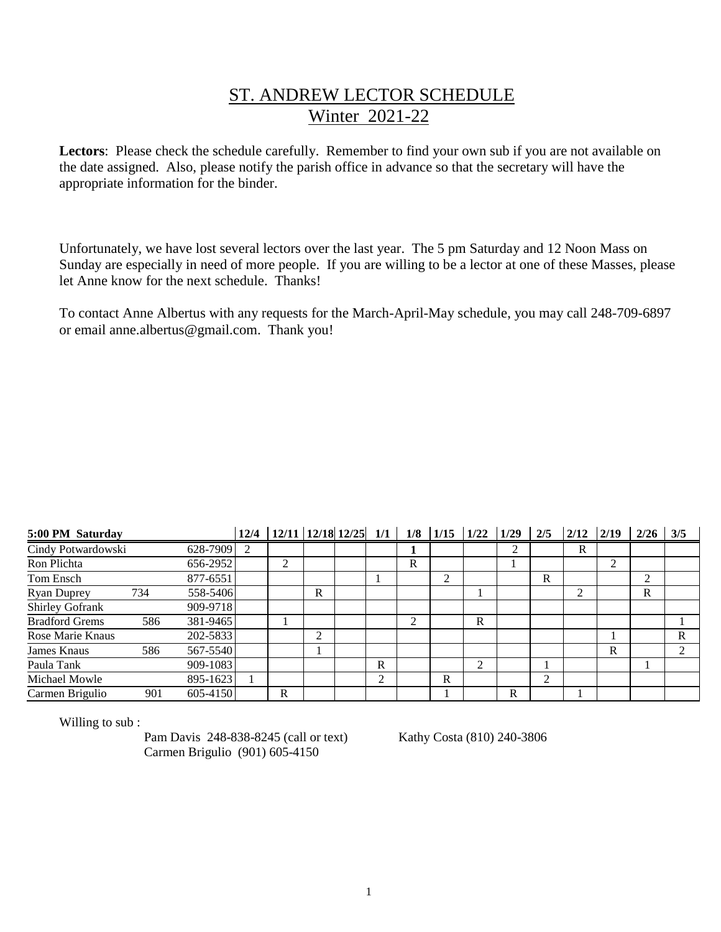## ST. ANDREW LECTOR SCHEDULE Winter 2021-22

**Lectors**: Please check the schedule carefully. Remember to find your own sub if you are not available on the date assigned. Also, please notify the parish office in advance so that the secretary will have the appropriate information for the binder.

Unfortunately, we have lost several lectors over the last year. The 5 pm Saturday and 12 Noon Mass on Sunday are especially in need of more people. If you are willing to be a lector at one of these Masses, please let Anne know for the next schedule. Thanks!

To contact Anne Albertus with any requests for the March-April-May schedule, you may call 248-709-6897 or email anne.albertus@gmail.com. Thank you!

| 5:00 PM Saturday      |     |          | 12/4 | $12/11$ 12/18 12/25 1/1 |   |                | 1/8 |   | $1/15$ $1/22$ $1/29$ |   | 2/5 | 2/12 | 2/19 | 2/26 | 3/5            |
|-----------------------|-----|----------|------|-------------------------|---|----------------|-----|---|----------------------|---|-----|------|------|------|----------------|
| Cindy Potwardowski    |     | 628-7909 | 2    |                         |   |                |     |   |                      | 2 |     | R    |      |      |                |
| Ron Plichta           |     | 656-2952 |      | 2                       |   |                | R   |   |                      |   |     |      | 2    |      |                |
| Tom Ensch             |     | 877-6551 |      |                         |   |                |     | 2 |                      |   | R   |      |      | 2    |                |
| <b>Ryan Duprey</b>    | 734 | 558-5406 |      |                         | R |                |     |   |                      |   |     | ∍    |      | R    |                |
| Shirley Gofrank       |     | 909-9718 |      |                         |   |                |     |   |                      |   |     |      |      |      |                |
| <b>Bradford Grems</b> | 586 | 381-9465 |      |                         |   |                | ↑   |   | R                    |   |     |      |      |      |                |
| Rose Marie Knaus      |     | 202-5833 |      |                         | 2 |                |     |   |                      |   |     |      |      |      | R              |
| James Knaus           | 586 | 567-5540 |      |                         |   |                |     |   |                      |   |     |      | R    |      | $\mathfrak{D}$ |
| Paula Tank            |     | 909-1083 |      |                         |   | R              |     |   | 2                    |   |     |      |      |      |                |
| Michael Mowle         |     | 895-1623 |      |                         |   | $\overline{2}$ |     | R |                      |   | 2   |      |      |      |                |
| Carmen Brigulio       | 901 | 605-4150 |      | R                       |   |                |     |   |                      | R |     |      |      |      |                |

Willing to sub :

Pam Davis 248-838-8245 (call or text) Kathy Costa (810) 240-3806 Carmen Brigulio (901) 605-4150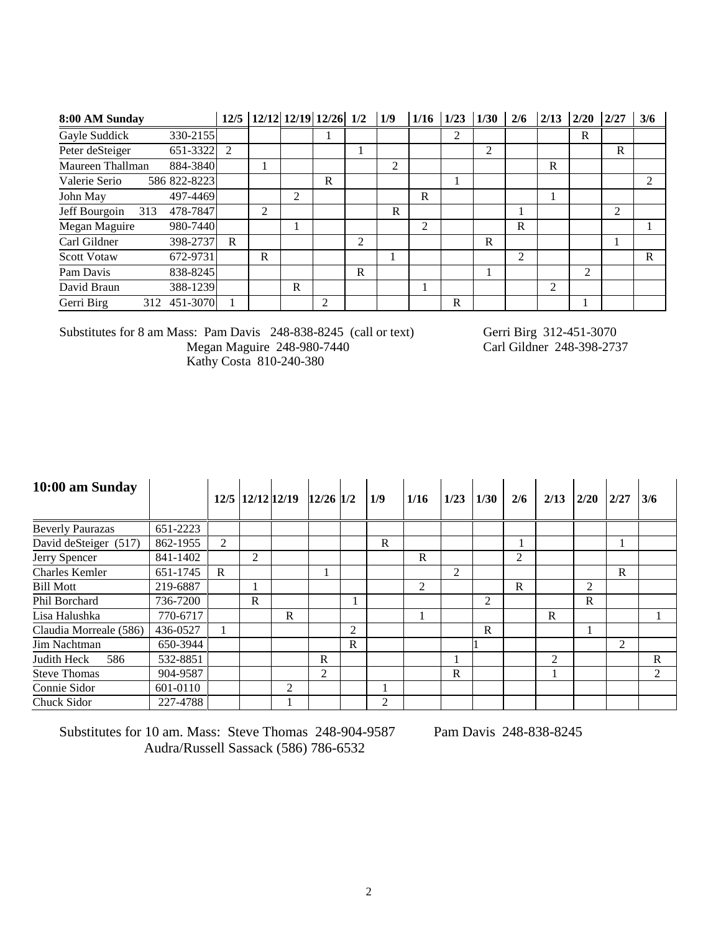| 8:00 AM Sunday       |              |             | 12/5 12/12 12/19 12/26 1/2 |   |   |   | 1/9            | 1/16 | 1/23 | 1/30 | 2/6            | 2/13           | 2/20                        | 2/27           | 3/6            |
|----------------------|--------------|-------------|----------------------------|---|---|---|----------------|------|------|------|----------------|----------------|-----------------------------|----------------|----------------|
| Gayle Suddick        | 330-2155     |             |                            |   |   |   |                |      | 2    |      |                |                | R                           |                |                |
| Peter deSteiger      | 651-3322     | 2           |                            |   |   |   |                |      |      | 2    |                |                |                             | R              |                |
| Maureen Thallman     | 884-3840     |             |                            |   |   |   | $\overline{c}$ |      |      |      |                | R              |                             |                |                |
| Valerie Serio        | 586 822-8223 |             |                            |   | R |   |                |      |      |      |                |                |                             |                | $\mathfrak{D}$ |
| John May             | 497-4469     |             |                            | 2 |   |   |                | R    |      |      |                |                |                             |                |                |
| Jeff Bourgoin<br>313 | 478-7847     |             | $\overline{c}$             |   |   |   | R              |      |      |      |                |                |                             | $\overline{c}$ |                |
| Megan Maguire        | 980-7440     |             |                            |   |   |   |                | 2    |      |      | R              |                |                             |                |                |
| Carl Gildner         | 398-2737     | $\mathbf R$ |                            |   |   | 2 |                |      |      | R    |                |                |                             |                |                |
| <b>Scott Votaw</b>   | 672-9731     |             | $\mathbb{R}$               |   |   |   |                |      |      |      | $\mathfrak{D}$ |                |                             |                | R              |
| Pam Davis            | 838-8245     |             |                            |   |   | R |                |      |      |      |                |                | $\mathcal{D}_{\mathcal{L}}$ |                |                |
| David Braun          | 388-1239     |             |                            | R |   |   |                |      |      |      |                | $\mathfrak{D}$ |                             |                |                |
| Gerri Birg           | 312 451-3070 |             |                            |   | 2 |   |                |      | R    |      |                |                |                             |                |                |

Substitutes for 8 am Mass: Pam Davis 248-838-8245 (call or text) Gerri Birg 312-451-3070<br>Megan Maguire 248-980-7440 Carl Gildner 248-398-2737 Megan Maguire 248-980-7440 Carl Gildner 248-398-2737 Kathy Costa 810-240-380

| 10:00 am Sunday         |          |              | 12/5 12/12 12/19 |   | $12/26$ 1/2 |              | 1/9          | 1/16         | 1/23           | 1/30 | 2/6            | 2/13 | 2/20 | 2/27           | 3/6            |
|-------------------------|----------|--------------|------------------|---|-------------|--------------|--------------|--------------|----------------|------|----------------|------|------|----------------|----------------|
| <b>Beverly Paurazas</b> | 651-2223 |              |                  |   |             |              |              |              |                |      |                |      |      |                |                |
| David deSteiger (517)   | 862-1955 | 2            |                  |   |             |              | $\mathbf{R}$ |              |                |      |                |      |      |                |                |
| Jerry Spencer           | 841-1402 |              | 2                |   |             |              |              | $\mathsf{R}$ |                |      | $\overline{2}$ |      |      |                |                |
| <b>Charles Kemler</b>   | 651-1745 | $\mathbf{R}$ |                  |   |             |              |              |              | $\overline{c}$ |      |                |      |      | $\mathbf R$    |                |
| <b>Bill Mott</b>        | 219-6887 |              |                  |   |             |              |              | 2            |                |      | $\mathbf R$    |      | 2    |                |                |
| Phil Borchard           | 736-7200 |              | R                |   |             |              |              |              |                | 2    |                |      | R    |                |                |
| Lisa Halushka           | 770-6717 |              |                  | R |             |              |              |              |                |      |                | R    |      |                |                |
| Claudia Morreale (586)  | 436-0527 |              |                  |   |             | 2            |              |              |                | R    |                |      |      |                |                |
| Jim Nachtman            | 650-3944 |              |                  |   |             | $\mathbf{R}$ |              |              |                |      |                |      |      | $\overline{c}$ |                |
| Judith Heck<br>586      | 532-8851 |              |                  |   | R           |              |              |              |                |      |                | 2    |      |                | R              |
| <b>Steve Thomas</b>     | 904-9587 |              |                  |   | 2           |              |              |              | R              |      |                |      |      |                | $\mathfrak{D}$ |
| Connie Sidor            | 601-0110 |              |                  | 2 |             |              |              |              |                |      |                |      |      |                |                |
| Chuck Sidor             | 227-4788 |              |                  |   |             |              | 2            |              |                |      |                |      |      |                |                |

Substitutes for 10 am. Mass: Steve Thomas 248-904-9587 Pam Davis 248-838-8245 Audra/Russell Sassack (586) 786-6532